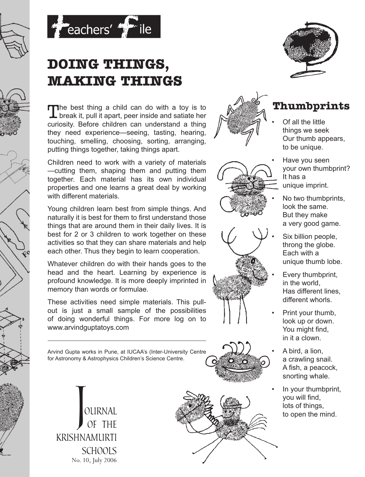



# **DOING THINGS, MAKING THINGS**

The best thing a child can do with a toy is to break it, pull it apart, peer inside and satiate her curiosity. Before children can understand a thing they need experience—seeing, tasting, hearing, touching, smelling, choosing, sorting, arranging, putting things together, taking things apart.

Children need to work with a variety of materials —cutting them, shaping them and putting them together. Each material has its own individual properties and one learns a great deal by working with different materials.

Young children learn best from simple things. And naturally it is best for them to first understand those things that are around them in their daily lives. It is best for 2 or 3 children to work together on these activities so that they can share materials and help each other. Thus they begin to learn cooperation.

Whatever children do with their hands goes to the head and the heart. Learning by experience is profound knowledge. It is more deeply imprinted in memory than words or formulae.

These activities need simple materials. This pullout is just a small sample of the possibilities of doing wonderful things. For more log on to www.arvindguptatoys.com

Arvind Gupta works in Pune, at IUCAA's (Inter-University Centre for Astronomy & Astrophysics Children's Science Centre.















- Of all the little things we seek Our thumb appears, to be unique.
	- Have you seen your own thumbprint? It has a unique imprint.
- No two thumbprints, look the same. But they make a very good game.
- Six billion people, throng the globe. Each with a unique thumb lobe.
- Every thumbprint, in the world, Has different lines, different whorls.
- Print your thumb. look up or down. You might find, in it a clown.
- A bird, a lion, a crawling snail. A fish, a peacock, snorting whale.
- In your thumbprint, you will find, lots of things, to open the mind.

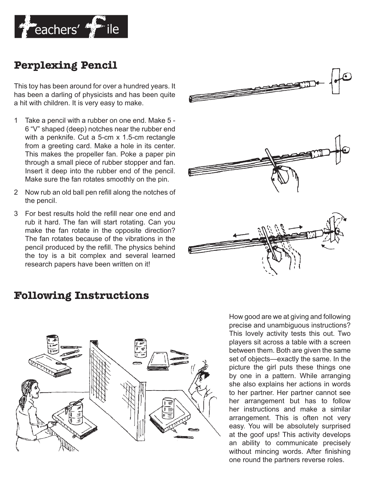

### **Perplexing Pencil**

This toy has been around for over a hundred years. It has been a darling of physicists and has been quite a hit with children. It is very easy to make.

- 1 Take a pencil with a rubber on one end. Make 5 6 "V" shaped (deep) notches near the rubber end with a penknife. Cut a 5-cm x 1.5-cm rectangle from a greeting card. Make a hole in its center. This makes the propeller fan. Poke a paper pin through a small piece of rubber stopper and fan. Insert it deep into the rubber end of the pencil. Make sure the fan rotates smoothly on the pin.
- 2 Now rub an old ball pen refill along the notches of the pencil.
- 3 For best results hold the refill near one end and rub it hard. The fan will start rotating. Can you make the fan rotate in the opposite direction? The fan rotates because of the vibrations in the pencil produced by the refill. The physics behind the toy is a bit complex and several learned research papers have been written on it!

### **Following Instructions**





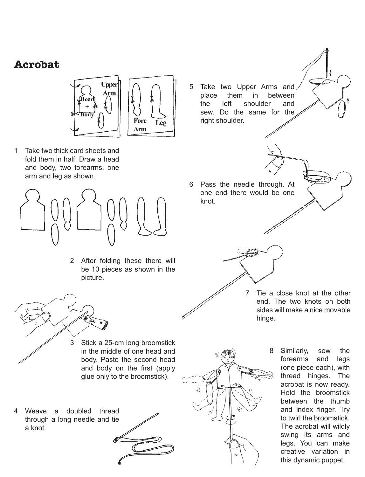### **Acrobat**



1 Take two thick card sheets and fold them in half. Draw a head and body, two forearms, one arm and leg as shown.



2 After folding these there will be 10 pieces as shown in the picture.

5 Take two Upper Arms and place them in between the left shoulder and sew. Do the same for the right shoulder.

6 Pass the needle through. At one end there would be one knot.



7 Tie a close knot at the other end. The two knots on both sides will make a nice movable hinge.



- 3 Stick a 25-cm long broomstick in the middle of one head and body. Paste the second head and body on the first (apply glue only to the broomstick).
- 4 Weave a doubled thread through a long needle and tie a knot.



8 Similarly, sew the forearms and legs (one piece each), with thread hinges. The acrobat is now ready. Hold the broomstick between the thumb and index finger. Try to twirl the broomstick. The acrobat will wildly swing its arms and legs. You can make creative variation in this dynamic puppet.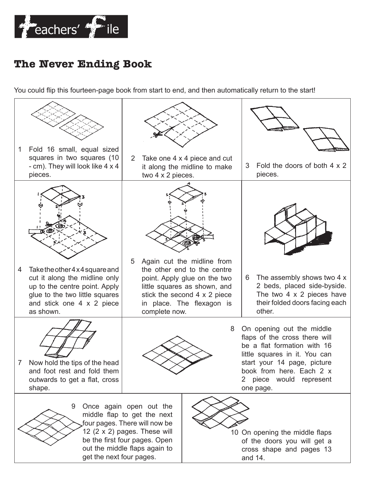

### **The Never Ending Book**

You could flip this fourteen-page book from start to end, and then automatically return to the start!

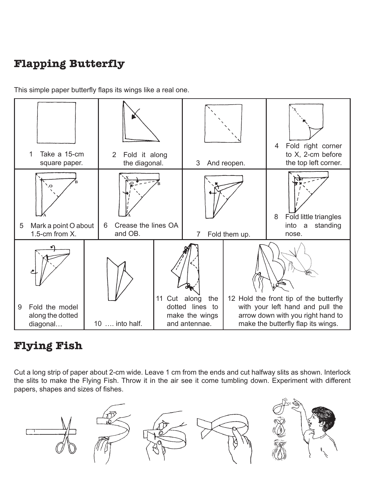## **Flapping Butterfly**

This simple paper butterfly flaps its wings like a real one.



### **Flying Fish**

Cut a long strip of paper about 2-cm wide. Leave 1 cm from the ends and cut halfway slits as shown. Interlock the slits to make the Flying Fish. Throw it in the air see it come tumbling down. Experiment with different papers, shapes and sizes of fishes.

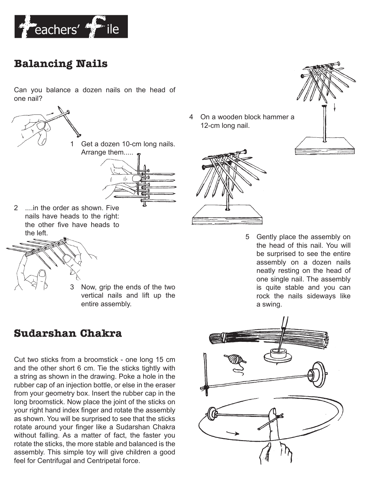

### **Balancing Nails**

Can you balance a dozen nails on the head of one nail?



3 Now, grip the ends of the two vertical nails and lift up the entire assembly.

#### **Sudarshan Chakra**

Cut two sticks from a broomstick - one long 15 cm and the other short 6 cm. Tie the sticks tightly with a string as shown in the drawing. Poke a hole in the rubber cap of an injection bottle, or else in the eraser from your geometry box. Insert the rubber cap in the long broomstick. Now place the joint of the sticks on your right hand index finger and rotate the assembly as shown. You will be surprised to see that the sticks rotate around your finger like a Sudarshan Chakra without falling. As a matter of fact, the faster you rotate the sticks, the more stable and balanced is the assembly. This simple toy will give children a good feel for Centrifugal and Centripetal force.

12-cm long nail.



5 Gently place the assembly on the head of this nail. You will be surprised to see the entire assembly on a dozen nails neatly resting on the head of one single nail. The assembly is quite stable and you can rock the nails sideways like a swing.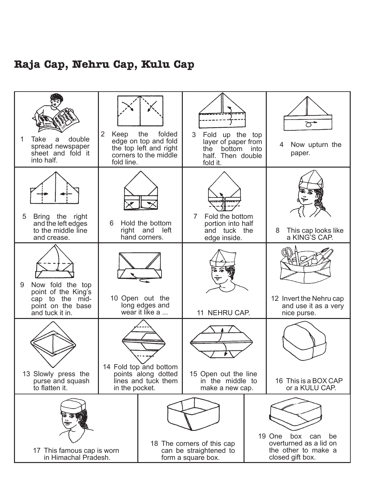**Raja Cap, Nehru Cap, Kulu Cap**